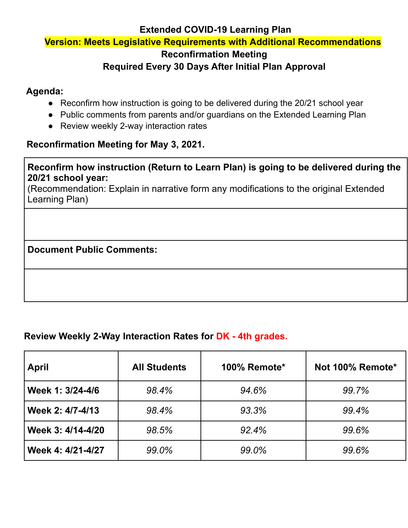#### **Extended COVID-19 Learning Plan**

#### **Version: Meets Legislative Requirements with Additional Recommendations**

#### **Reconfirmation Meeting**

## **Required Every 30 Days After Initial Plan Approval**

## **Agenda:**

- Reconfirm how instruction is going to be delivered during the 20/21 school year
- Public comments from parents and/or guardians on the Extended Learning Plan
- Review weekly 2-way interaction rates

#### **Reconfirmation Meeting for May 3, 2021.**

#### **Reconfirm how instruction (Return to Learn Plan) is going to be delivered during the 20/21 school year:**

(Recommendation: Explain in narrative form any modifications to the original Extended Learning Plan)

#### **Document Public Comments:**

#### **Review Weekly 2-Way Interaction Rates for DK - 4th grades.**

| <b>April</b>      | <b>All Students</b> | 100% Remote* | Not 100% Remote* |
|-------------------|---------------------|--------------|------------------|
| Week 1: 3/24-4/6  | 98.4%               | 94.6%        | 99.7%            |
| Week 2: 4/7-4/13  | 98.4%               | 93.3%        | 99.4%            |
| Week 3: 4/14-4/20 | 98.5%               | 92.4%        | 99.6%            |
| Week 4: 4/21-4/27 | 99.0%               | 99.0%        | 99.6%            |